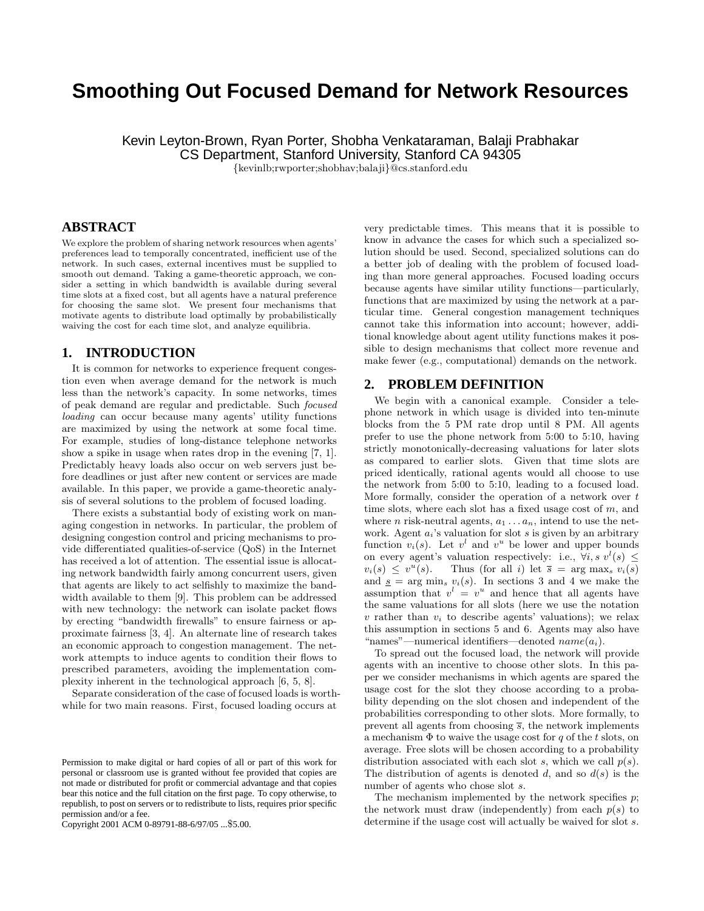# **Smoothing Out Focused Demand for Network Resources**

Kevin Leyton-Brown, Ryan Porter, Shobha Venkataraman, Balaji Prabhakar CS Department, Stanford University, Stanford CA 94305

{kevinlb;rwporter;shobhav;balaji}@cs.stanford.edu

# **ABSTRACT**

We explore the problem of sharing network resources when agents' preferences lead to temporally concentrated, inefficient use of the network. In such cases, external incentives must be supplied to smooth out demand. Taking a game-theoretic approach, we consider a setting in which bandwidth is available during several time slots at a fixed cost, but all agents have a natural preference for choosing the same slot. We present four mechanisms that motivate agents to distribute load optimally by probabilistically waiving the cost for each time slot, and analyze equilibria.

# **1. INTRODUCTION**

It is common for networks to experience frequent congestion even when average demand for the network is much less than the network's capacity. In some networks, times of peak demand are regular and predictable. Such focused loading can occur because many agents' utility functions are maximized by using the network at some focal time. For example, studies of long-distance telephone networks show a spike in usage when rates drop in the evening [7, 1]. Predictably heavy loads also occur on web servers just before deadlines or just after new content or services are made available. In this paper, we provide a game-theoretic analysis of several solutions to the problem of focused loading.

There exists a substantial body of existing work on managing congestion in networks. In particular, the problem of designing congestion control and pricing mechanisms to provide differentiated qualities-of-service (QoS) in the Internet has received a lot of attention. The essential issue is allocating network bandwidth fairly among concurrent users, given that agents are likely to act selfishly to maximize the bandwidth available to them [9]. This problem can be addressed with new technology: the network can isolate packet flows by erecting "bandwidth firewalls" to ensure fairness or approximate fairness [3, 4]. An alternate line of research takes an economic approach to congestion management. The network attempts to induce agents to condition their flows to prescribed parameters, avoiding the implementation complexity inherent in the technological approach [6, 5, 8].

Separate consideration of the case of focused loads is worthwhile for two main reasons. First, focused loading occurs at

Copyright 2001 ACM 0-89791-88-6/97/05 ...\$5.00.

very predictable times. This means that it is possible to know in advance the cases for which such a specialized solution should be used. Second, specialized solutions can do a better job of dealing with the problem of focused loading than more general approaches. Focused loading occurs because agents have similar utility functions—particularly, functions that are maximized by using the network at a particular time. General congestion management techniques cannot take this information into account; however, additional knowledge about agent utility functions makes it possible to design mechanisms that collect more revenue and make fewer (e.g., computational) demands on the network.

## **2. PROBLEM DEFINITION**

We begin with a canonical example. Consider a telephone network in which usage is divided into ten-minute blocks from the 5 PM rate drop until 8 PM. All agents prefer to use the phone network from 5:00 to 5:10, having strictly monotonically-decreasing valuations for later slots as compared to earlier slots. Given that time slots are priced identically, rational agents would all choose to use the network from 5:00 to 5:10, leading to a focused load. More formally, consider the operation of a network over t time slots, where each slot has a fixed usage cost of m, and where *n* risk-neutral agents,  $a_1 \ldots a_n$ , intend to use the network. Agent  $a_i$ 's valuation for slot s is given by an arbitrary function  $v_i(s)$ . Let  $v^l$  and  $v^u$  be lower and upper bounds on every agent's valuation respectively: i.e.,  $\forall i, s \ v^l(s) \leq$  $v_i(s) \leq v^u(s)$ . Thus (for all i) let  $\overline{s} = \arg \max_s v_i(s)$ and  $s = \arg \min_s v_i(s)$ . In sections 3 and 4 we make the assumption that  $v^l = v^u$  and hence that all agents have the same valuations for all slots (here we use the notation  $v$  rather than  $v_i$  to describe agents' valuations); we relax this assumption in sections 5 and 6. Agents may also have "names"—numerical identifiers—denoted  $name(a_i)$ .

To spread out the focused load, the network will provide agents with an incentive to choose other slots. In this paper we consider mechanisms in which agents are spared the usage cost for the slot they choose according to a probability depending on the slot chosen and independent of the probabilities corresponding to other slots. More formally, to prevent all agents from choosing  $\bar{s}$ , the network implements a mechanism  $\Phi$  to waive the usage cost for q of the t slots, on average. Free slots will be chosen according to a probability distribution associated with each slot s, which we call  $p(s)$ . The distribution of agents is denoted d, and so  $d(s)$  is the number of agents who chose slot s.

The mechanism implemented by the network specifies  $p$ ; the network must draw (independently) from each  $p(s)$  to determine if the usage cost will actually be waived for slot s.

Permission to make digital or hard copies of all or part of this work for personal or classroom use is granted without fee provided that copies are not made or distributed for profit or commercial advantage and that copies bear this notice and the full citation on the first page. To copy otherwise, to republish, to post on servers or to redistribute to lists, requires prior specific permission and/or a fee.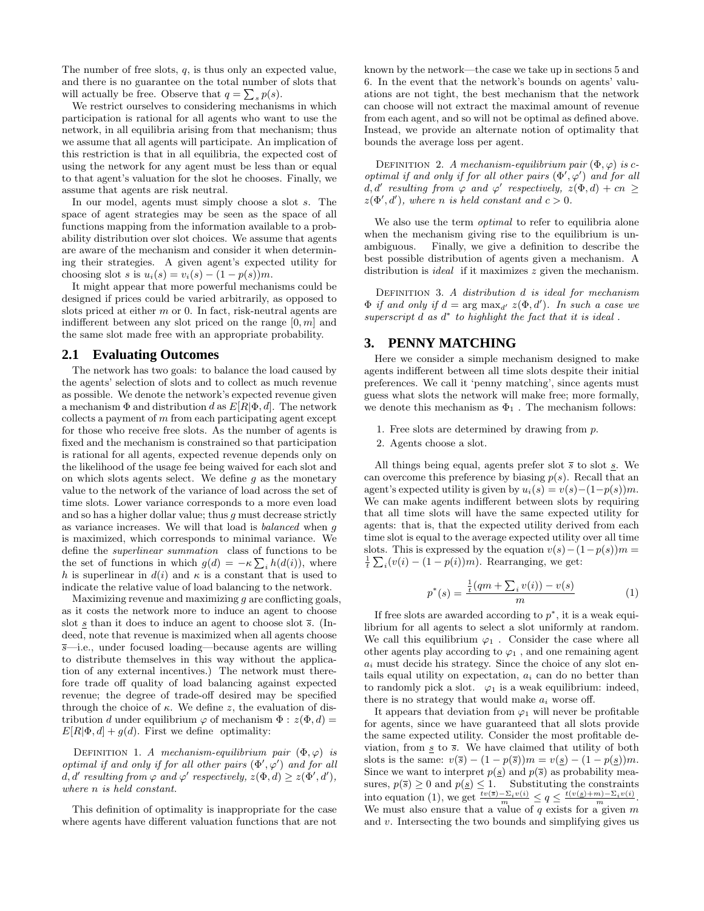The number of free slots,  $q$ , is thus only an expected value, and there is no guarantee on the total number of slots that will actually be free. Observe that  $q = \sum_s p(s)$ .

We restrict ourselves to considering mechanisms in which participation is rational for all agents who want to use the network, in all equilibria arising from that mechanism; thus we assume that all agents will participate. An implication of this restriction is that in all equilibria, the expected cost of using the network for any agent must be less than or equal to that agent's valuation for the slot he chooses. Finally, we assume that agents are risk neutral.

In our model, agents must simply choose a slot s. The space of agent strategies may be seen as the space of all functions mapping from the information available to a probability distribution over slot choices. We assume that agents are aware of the mechanism and consider it when determining their strategies. A given agent's expected utility for choosing slot s is  $u_i(s) = v_i(s) - (1 - p(s))m$ .

It might appear that more powerful mechanisms could be designed if prices could be varied arbitrarily, as opposed to slots priced at either  $m$  or 0. In fact, risk-neutral agents are indifferent between any slot priced on the range  $[0, m]$  and the same slot made free with an appropriate probability.

## **2.1 Evaluating Outcomes**

The network has two goals: to balance the load caused by the agents' selection of slots and to collect as much revenue as possible. We denote the network's expected revenue given a mechanism  $\Phi$  and distribution d as  $E[R|\Phi, d]$ . The network collects a payment of  $m$  from each participating agent except for those who receive free slots. As the number of agents is fixed and the mechanism is constrained so that participation is rational for all agents, expected revenue depends only on the likelihood of the usage fee being waived for each slot and on which slots agents select. We define  $g$  as the monetary value to the network of the variance of load across the set of time slots. Lower variance corresponds to a more even load and so has a higher dollar value; thus  $g$  must decrease strictly as variance increases. We will that load is balanced when g is maximized, which corresponds to minimal variance. We define the superlinear summation class of functions to be the set of functions in which  $g(d) = -\kappa \sum_i h(d(i))$ , where h is superlinear in  $d(i)$  and  $\kappa$  is a constant that is used to indicate the relative value of load balancing to the network.

Maximizing revenue and maximizing  $q$  are conflicting goals, as it costs the network more to induce an agent to choose slot  $s$  than it does to induce an agent to choose slot  $\overline{s}$ . (Indeed, note that revenue is maximized when all agents choose  $\overline{s}$ —i.e., under focused loading—because agents are willing to distribute themselves in this way without the application of any external incentives.) The network must therefore trade off quality of load balancing against expected revenue; the degree of trade-off desired may be specified through the choice of  $\kappa$ . We define z, the evaluation of distribution d under equilibrium  $\varphi$  of mechanism  $\Phi : z(\Phi, d) =$  $E[R|\Phi, d] + q(d)$ . First we define optimality:

DEFINITION 1. A mechanism-equilibrium pair  $(\Phi, \varphi)$  is optimal if and only if for all other pairs  $(\Phi', \varphi')$  and for all  $d, d'$  resulting from  $\varphi$  and  $\varphi'$  respectively,  $z(\Phi, d) \geq z(\Phi', d'),$ where n is held constant.

This definition of optimality is inappropriate for the case where agents have different valuation functions that are not known by the network—the case we take up in sections 5 and 6. In the event that the network's bounds on agents' valuations are not tight, the best mechanism that the network can choose will not extract the maximal amount of revenue from each agent, and so will not be optimal as defined above. Instead, we provide an alternate notion of optimality that bounds the average loss per agent.

DEFINITION 2. A mechanism-equilibrium pair  $(\Phi, \varphi)$  is coptimal if and only if for all other pairs  $(\Phi', \varphi')$  and for all  $d, d'$  resulting from  $\varphi$  and  $\varphi'$  respectively,  $z(\Phi, d) + cn \geq$  $z(\Phi', d')$ , where n is held constant and  $c > 0$ .

We also use the term *optimal* to refer to equilibria alone when the mechanism giving rise to the equilibrium is unambiguous. Finally, we give a definition to describe the best possible distribution of agents given a mechanism. A distribution is *ideal* if it maximizes z given the mechanism.

DEFINITION 3. A distribution d is ideal for mechanism  $\Phi$  if and only if  $d = \arg \max_{d'} z(\Phi, d')$ . In such a case we superscript  $d$  as  $d^*$  to highlight the fact that it is ideal.

## **3. PENNY MATCHING**

Here we consider a simple mechanism designed to make agents indifferent between all time slots despite their initial preferences. We call it 'penny matching', since agents must guess what slots the network will make free; more formally, we denote this mechanism as  $\Phi_1$ . The mechanism follows:

- 1. Free slots are determined by drawing from p.
- 2. Agents choose a slot.

All things being equal, agents prefer slot  $\bar{s}$  to slot  $\underline{s}$ . We can overcome this preference by biasing  $p(s)$ . Recall that an agent's expected utility is given by  $u_i(s) = v(s) - (1-p(s))m$ . We can make agents indifferent between slots by requiring that all time slots will have the same expected utility for agents: that is, that the expected utility derived from each time slot is equal to the average expected utility over all time slots. This is expressed by the equation  $v(s)-(1-p(s))m =$  $\frac{1}{t} \sum_i (v(i) - (1 - p(i))m)$ . Rearranging, we get:

$$
p^*(s) = \frac{\frac{1}{t}(qm + \sum_i v(i)) - v(s)}{m}
$$
 (1)

If free slots are awarded according to  $p^*$ , it is a weak equilibrium for all agents to select a slot uniformly at random. We call this equilibrium  $\varphi_1$ . Consider the case where all other agents play according to  $\varphi_1$ , and one remaining agent  $a_i$  must decide his strategy. Since the choice of any slot entails equal utility on expectation,  $a_i$  can do no better than to randomly pick a slot.  $\varphi_1$  is a weak equilibrium: indeed, there is no strategy that would make  $a_i$  worse off.

It appears that deviation from  $\varphi_1$  will never be profitable for agents, since we have guaranteed that all slots provide the same expected utility. Consider the most profitable deviation, from  $s \to \overline{s}$ . We have claimed that utility of both slots is the same:  $v(\bar{s}) - (1 - p(\bar{s}))m = v(\underline{s}) - (1 - p(\underline{s}))m$ . Since we want to interpret  $p(\underline{s})$  and  $p(\overline{s})$  as probability measures,  $p(\overline{s}) \ge 0$  and  $p(\underline{s}) \le 1$ . Substituting the constraints into equation (1), we get  $\frac{tv(\overline{s}) - \Sigma_i v(i)}{m} \leq q \leq \frac{t(v(\underline{s}) + m) - \Sigma_i v(i)}{m}$ . We must also ensure that a value of  $q$  exists for a given  $m$ and  $v$ . Intersecting the two bounds and simplifying gives us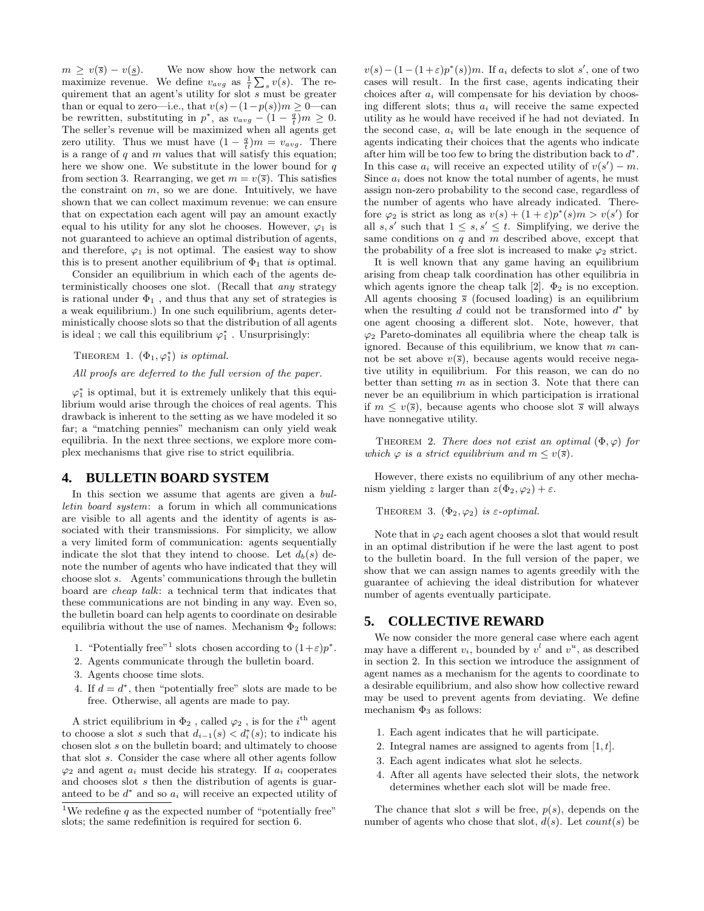$m \ge v(\overline{s}) - v(\underline{s})$ . We now show how the network can maximize revenue. We define  $v_{avg}$  as  $\frac{1}{t} \sum_s v(s)$ . The requirement that an agent's utility for slot s must be greater than or equal to zero—i.e., that  $v(s)-(1-p(s))m ≥ 0$ —can be rewritten, substituting in  $p^*$ , as  $v_{avg} - (1 - \frac{q}{t})m \geq 0$ . The seller's revenue will be maximized when all agents get zero utility. Thus we must have  $(1 - \frac{q}{t})m = v_{avg}$ . There is a range of  $q$  and  $m$  values that will satisfy this equation; here we show one. We substitute in the lower bound for  $q$ from section 3. Rearranging, we get  $m = v(\overline{s})$ . This satisfies the constraint on  $m$ , so we are done. Intuitively, we have shown that we can collect maximum revenue: we can ensure that on expectation each agent will pay an amount exactly equal to his utility for any slot he chooses. However,  $\varphi_1$  is not guaranteed to achieve an optimal distribution of agents, and therefore,  $\varphi_1$  is not optimal. The easiest way to show this is to present another equilibrium of  $\Phi_1$  that is optimal.

Consider an equilibrium in which each of the agents deterministically chooses one slot. (Recall that any strategy is rational under  $\Phi_1$ , and thus that any set of strategies is a weak equilibrium.) In one such equilibrium, agents deterministically choose slots so that the distribution of all agents is ideal ; we call this equilibrium  $\varphi_1^*$ . Unsurprisingly:

THEOREM 1.  $(\Phi_1, \varphi_1^*)$  is optimal.

#### All proofs are deferred to the full version of the paper.

 $\varphi_1^*$  is optimal, but it is extremely unlikely that this equilibrium would arise through the choices of real agents. This drawback is inherent to the setting as we have modeled it so far; a "matching pennies" mechanism can only yield weak equilibria. In the next three sections, we explore more complex mechanisms that give rise to strict equilibria.

#### **4. BULLETIN BOARD SYSTEM**

In this section we assume that agents are given a bulletin board system: a forum in which all communications are visible to all agents and the identity of agents is associated with their transmissions. For simplicity, we allow a very limited form of communication: agents sequentially indicate the slot that they intend to choose. Let  $d_b(s)$  denote the number of agents who have indicated that they will choose slot s. Agents' communications through the bulletin board are cheap talk: a technical term that indicates that these communications are not binding in any way. Even so, the bulletin board can help agents to coordinate on desirable equilibria without the use of names. Mechanism  $\Phi_2$  follows:

- 1. "Potentially free"<sup>1</sup> slots chosen according to  $(1+\varepsilon)p^*$ .
- 2. Agents communicate through the bulletin board.
- 3. Agents choose time slots.
- 4. If  $d = d^*$ , then "potentially free" slots are made to be free. Otherwise, all agents are made to pay.

A strict equilibrium in  $\Phi_2$ , called  $\varphi_2$ , is for the  $i^{\text{th}}$  agent to choose a slot s such that  $d_{i-1}(s) < d_i^*(s)$ ; to indicate his chosen slot s on the bulletin board; and ultimately to choose that slot s. Consider the case where all other agents follow  $\varphi_2$  and agent  $a_i$  must decide his strategy. If  $a_i$  cooperates and chooses slot s then the distribution of agents is guaranteed to be  $d^*$  and so  $a_i$  will receive an expected utility of

 $v(s) - (1 - (1 + \varepsilon)p^*(s))m$ . If  $a_i$  defects to slot s', one of two cases will result. In the first case, agents indicating their choices after  $a_i$  will compensate for his deviation by choosing different slots; thus  $a_i$  will receive the same expected utility as he would have received if he had not deviated. In the second case,  $a_i$  will be late enough in the sequence of agents indicating their choices that the agents who indicate after him will be too few to bring the distribution back to  $d^*$ . In this case  $a_i$  will receive an expected utility of  $v(s') - m$ . Since  $a_i$  does not know the total number of agents, he must assign non-zero probability to the second case, regardless of the number of agents who have already indicated. Therefore  $\varphi_2$  is strict as long as  $v(s) + (1+\varepsilon)p^*(s)m > v(s')$  for all  $s, s'$  such that  $1 \leq s, s' \leq t$ . Simplifying, we derive the same conditions on  $q$  and  $m$  described above, except that the probability of a free slot is increased to make  $\varphi_2$  strict.

It is well known that any game having an equilibrium arising from cheap talk coordination has other equilibria in which agents ignore the cheap talk [2].  $\Phi_2$  is no exception. All agents choosing  $\bar{s}$  (focused loading) is an equilibrium when the resulting  $d$  could not be transformed into  $d^*$  by one agent choosing a different slot. Note, however, that  $\varphi_2$  Pareto-dominates all equilibria where the cheap talk is ignored. Because of this equilibrium, we know that  $m$  cannot be set above  $v(\overline{s})$ , because agents would receive negative utility in equilibrium. For this reason, we can do no better than setting  $m$  as in section 3. Note that there can never be an equilibrium in which participation is irrational if  $m \le v(\overline{s})$ , because agents who choose slot  $\overline{s}$  will always have nonnegative utility.

THEOREM 2. There does not exist an optimal  $(\Phi, \varphi)$  for which  $\varphi$  is a strict equilibrium and  $m \le v(\overline{s})$ .

However, there exists no equilibrium of any other mechanism yielding z larger than  $z(\Phi_2, \varphi_2) + \varepsilon$ .

THEOREM 3.  $(\Phi_2, \varphi_2)$  is  $\varepsilon$ -optimal.

Note that in  $\varphi_2$  each agent chooses a slot that would result in an optimal distribution if he were the last agent to post to the bulletin board. In the full version of the paper, we show that we can assign names to agents greedily with the guarantee of achieving the ideal distribution for whatever number of agents eventually participate.

## **5. COLLECTIVE REWARD**

We now consider the more general case where each agent may have a different  $v_i$ , bounded by  $v^l$  and  $v^u$ , as described in section 2. In this section we introduce the assignment of agent names as a mechanism for the agents to coordinate to a desirable equilibrium, and also show how collective reward may be used to prevent agents from deviating. We define mechanism  $\Phi_3$  as follows:

- 1. Each agent indicates that he will participate.
- 2. Integral names are assigned to agents from  $[1, t]$ .
- 3. Each agent indicates what slot he selects.
- 4. After all agents have selected their slots, the network determines whether each slot will be made free.

The chance that slot s will be free,  $p(s)$ , depends on the number of agents who chose that slot,  $d(s)$ . Let  $count(s)$  be

<sup>&</sup>lt;sup>1</sup>We redefine *a* as the expected number of "potentially free" slots; the same redefinition is required for section 6.